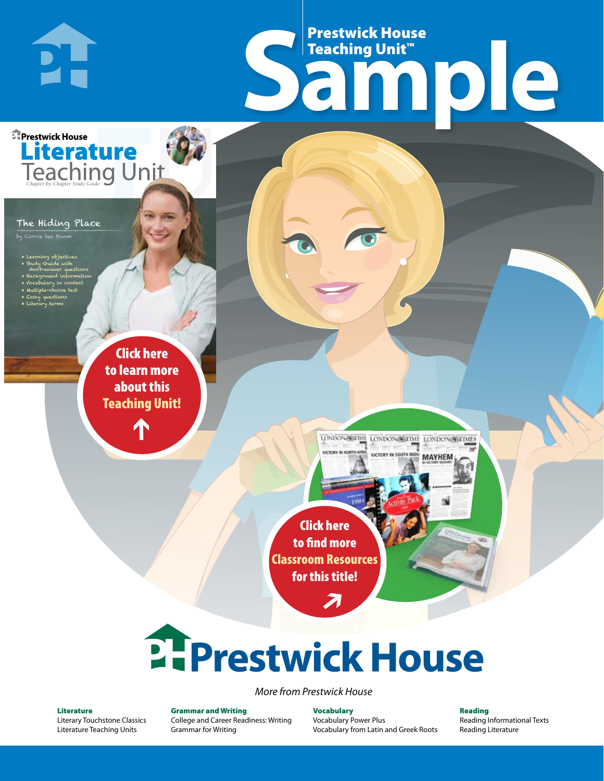# Frestwick House<br>
Sample Prestwick House Teaching Unit™

LONDON-SCITME LONDON/SCITME LONDON/SCITMES victory in soul

**MAYHEM** 

**Prestwick House** Literature

#### The Hiding Place

**PH** 

by Corrie ten Boom

- Learning objectives
- Study Guide with short-answer questions
- Background information
- Vocabulary in context • Multiple-choice test

CHARLES DICKENS

- Essay questions
- **A Tale of Two Cities** • Literary terms

r e o r d e r n o . x x x x x x Click here to learn more about this [Teaching Unit!](https://www.prestwickhouse.com/pdf/id-202331/Hiding_Place_The_-_Downloadable_Teaching_Unit)

 $\mathbf{T}$ 

1

Click here to find more [Classroom Resources](http://teaching-english.prestwickhouse.com/search#w=the%20hiding%20place)  for this title!

 $\overline{\boldsymbol{\lambda}}$ 

# 2. Prestwick House

#### *More from Prestwick House*

#### Literature

[Literary Touchstone Classics](https://www.prestwickhouse.com/literary-touchstone-classics) [Literature Teaching Units](https://www.prestwickhouse.com/teaching-units)

Grammar and Writing [College and Career Readiness: Writing](https://www.prestwickhouse.com/college-and-career-readiness-writing) [Grammar for Writing](https://www.prestwickhouse.com/book/id-302639/Grammar_for_Writing_-_30_Books_and_Teachers_Edition)

**Vocabulary** [Vocabulary Power Plus](https://www.prestwickhouse.com/vocabulary-power-plus-for-college-and-career-readiness) [Vocabulary from Latin and Greek Roots](https://www.prestwickhouse.com/vocabulary-from-latin-and-greek-roots) Reading

[Reading Informational Texts](https://www.prestwickhouse.com/reading-informational-texts) [Reading Literature](https://www.prestwickhouse.com/reading-literature)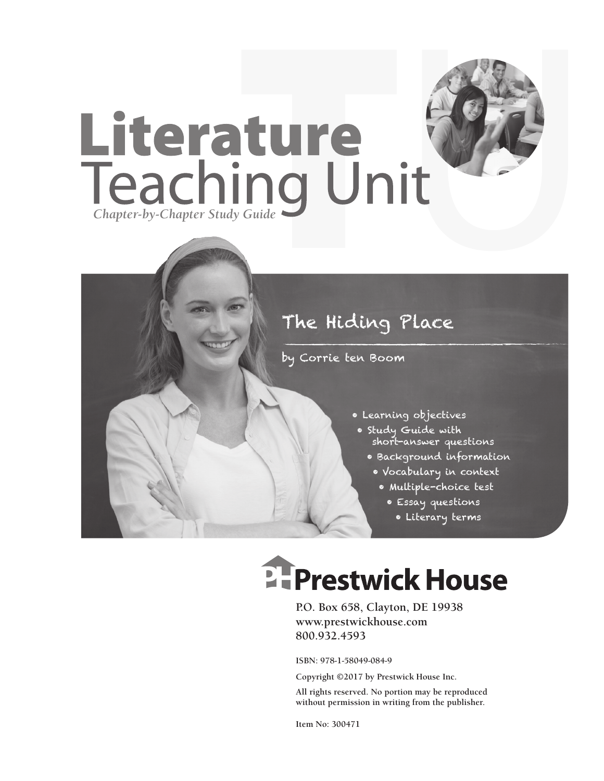

by Corrie ten Boom

- Learning objectives
- Study Guide with short-answer questions
	- Background information
	- Vocabulary in context
		- Multiple-choice test
			- Essay questions
			- Literary terms

# **EFPrestwick House**

**P.O. Box 658, Clayton, DE 19938 www.prestwickhouse.com 800.932.4593**

**ISBN: 978-1-58049-084-9**

**Copyright ©2017 by Prestwick House Inc.**

**All rights reserved. No portion may be reproduced without permission in writing from the publisher.**

**Item No: 300471**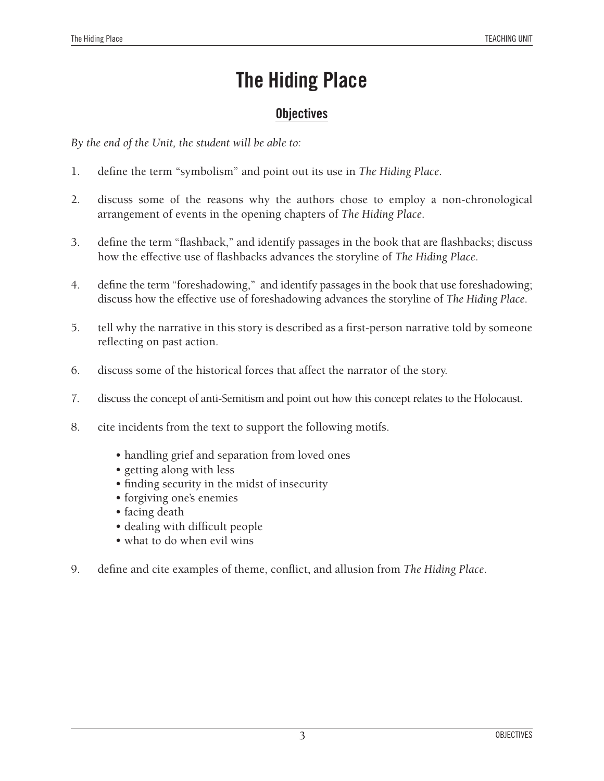### **Objectives**

*By the end of the Unit, the student will be able to:*

- 1. define the term "symbolism" and point out its use in *The Hiding Place*.
- 2. discuss some of the reasons why the authors chose to employ a non-chronological arrangement of events in the opening chapters of *The Hiding Place*.
- 3. define the term "flashback," and identify passages in the book that are flashbacks; discuss how the effective use of flashbacks advances the storyline of *The Hiding Place*.
- 4. define the term "foreshadowing," and identify passages in the book that use foreshadowing; discuss how the effective use of foreshadowing advances the storyline of *The Hiding Place*.
- 5. tell why the narrative in this story is described as a first-person narrative told by someone reflecting on past action.
- 6. discuss some of the historical forces that affect the narrator of the story.
- 7. discuss the concept of anti-Semitism and point out how this concept relates to the Holocaust.
- 8. cite incidents from the text to support the following motifs.
	- handling grief and separation from loved ones
	- getting along with less
	- finding security in the midst of insecurity
	- forgiving one's enemies
	- facing death
	- dealing with difficult people
	- what to do when evil wins
- 9. define and cite examples of theme, conflict, and allusion from *The Hiding Place*.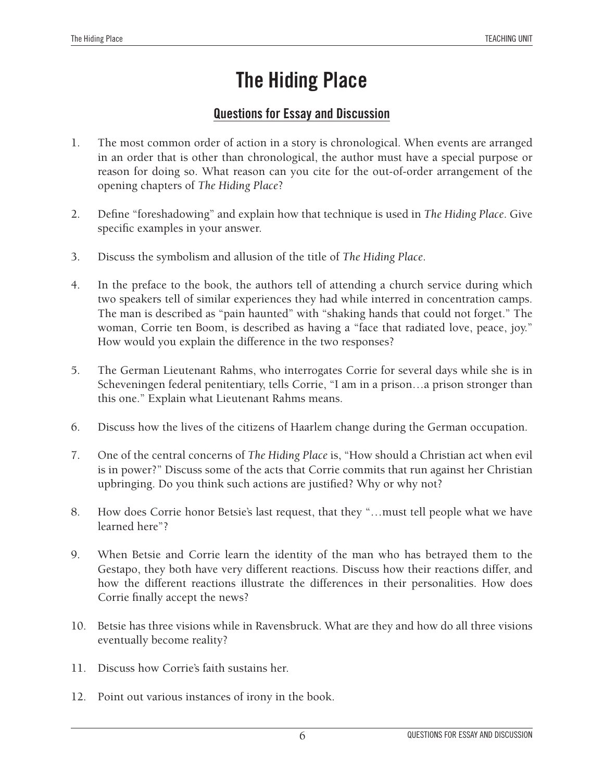### **Questions for Essay and Discussion**

- 1. The most common order of action in a story is chronological. When events are arranged in an order that is other than chronological, the author must have a special purpose or reason for doing so. What reason can you cite for the out-of-order arrangement of the opening chapters of *The Hiding Place*?
- 2. Define "foreshadowing" and explain how that technique is used in *The Hiding Place*. Give specific examples in your answer.
- 3. Discuss the symbolism and allusion of the title of *The Hiding Place*.
- 4. In the preface to the book, the authors tell of attending a church service during which two speakers tell of similar experiences they had while interred in concentration camps. The man is described as "pain haunted" with "shaking hands that could not forget." The woman, Corrie ten Boom, is described as having a "face that radiated love, peace, joy." How would you explain the difference in the two responses?
- 5. The German Lieutenant Rahms, who interrogates Corrie for several days while she is in Scheveningen federal penitentiary, tells Corrie, "I am in a prison…a prison stronger than this one." Explain what Lieutenant Rahms means.
- 6. Discuss how the lives of the citizens of Haarlem change during the German occupation.
- 7. One of the central concerns of *The Hiding Place* is, "How should a Christian act when evil is in power?" Discuss some of the acts that Corrie commits that run against her Christian upbringing. Do you think such actions are justified? Why or why not?
- 8. How does Corrie honor Betsie's last request, that they "…must tell people what we have learned here"?
- 9. When Betsie and Corrie learn the identity of the man who has betrayed them to the Gestapo, they both have very different reactions. Discuss how their reactions differ, and how the different reactions illustrate the differences in their personalities. How does Corrie finally accept the news?
- 10. Betsie has three visions while in Ravensbruck. What are they and how do all three visions eventually become reality?
- 11. Discuss how Corrie's faith sustains her.
- 12. Point out various instances of irony in the book.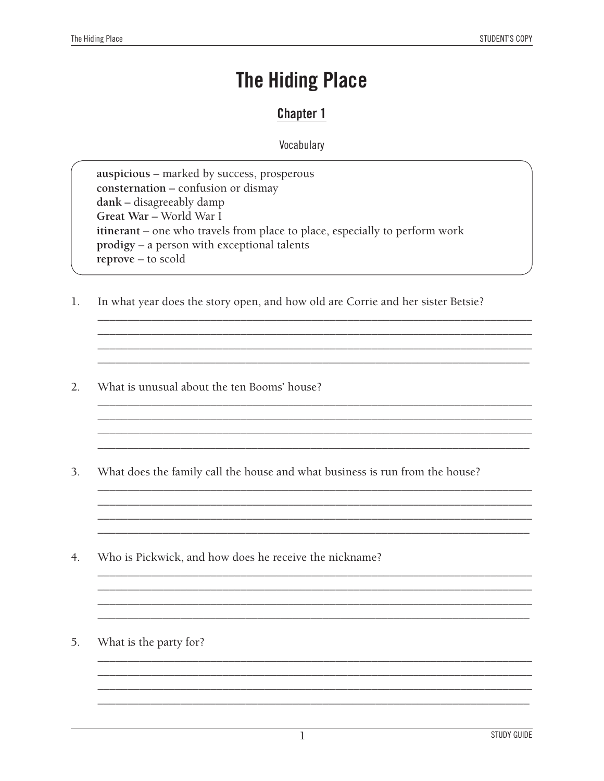### **Chapter 1**

Vocabulary

auspicious – marked by success, prosperous consternation - confusion or dismay dank – disagreeably damp Great War - World War I itinerant - one who travels from place to place, especially to perform work prodigy - a person with exceptional talents reprove – to scold

 $1.$ In what year does the story open, and how old are Corrie and her sister Betsie?

- $2.$ What is unusual about the ten Booms' house?
- $3.$ What does the family call the house and what business is run from the house?

- $4.$ Who is Pickwick, and how does he receive the nickname?
- 5. What is the party for?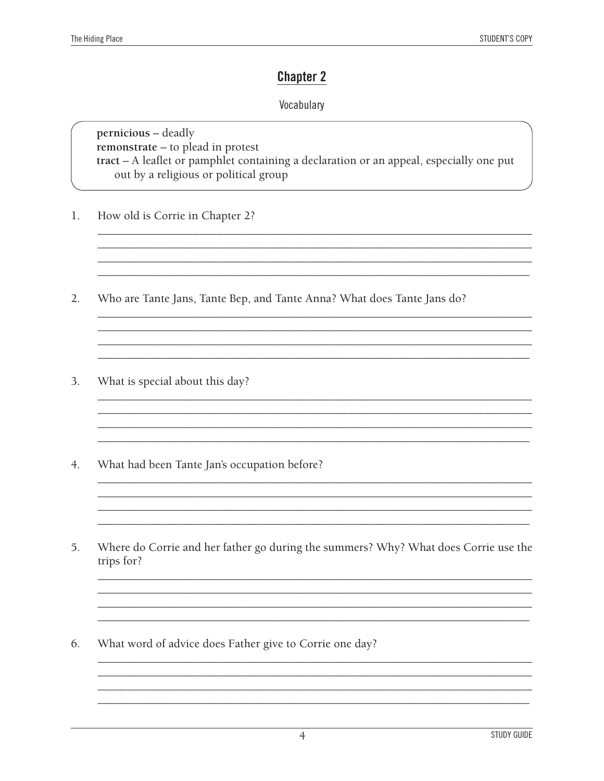### **Chapter 2**

#### Vocabulary

pernicious - deadly remonstrate - to plead in protest tract - A leaflet or pamphlet containing a declaration or an appeal, especially one put out by a religious or political group

- How old is Corrie in Chapter 2? 1.
- $2.$ Who are Tante Jans, Tante Bep, and Tante Anna? What does Tante Jans do?

<u> 1988 - Jan James James, politik eta idazleari (h. 1988).</u>

- $3.$ What is special about this day?
- $4.$ What had been Tante Jan's occupation before?
- 5. Where do Corrie and her father go during the summers? Why? What does Corrie use the trips for?

6. What word of advice does Father give to Corrie one day?